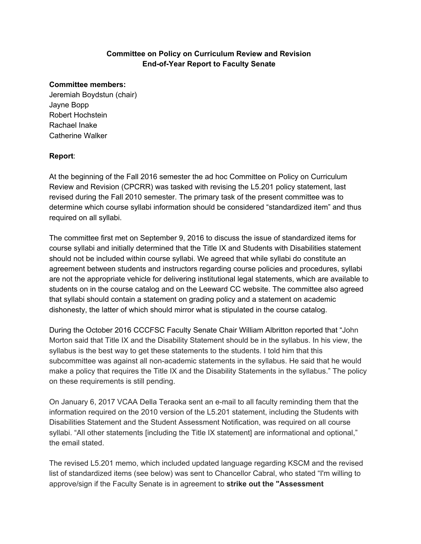## **Committee on Policy on Curriculum Review and Revision End-of-Year Report to Faculty Senate**

#### **Committee members:**

Jeremiah Boydstun (chair) Jayne Bopp Robert Hochstein Rachael Inake Catherine Walker

### **Report**:

At the beginning of the Fall 2016 semester the ad hoc Committee on Policy on Curriculum Review and Revision (CPCRR) was tasked with revising the L5.201 policy statement, last revised during the Fall 2010 semester. The primary task of the present committee was to determine which course syllabi information should be considered "standardized item" and thus required on all syllabi.

The committee first met on September 9, 2016 to discuss the issue of standardized items for course syllabi and initially determined that the Title IX and Students with Disabilities statement should not be included within course syllabi. We agreed that while syllabi do constitute an agreement between students and instructors regarding course policies and procedures, syllabi are not the appropriate vehicle for delivering institutional legal statements, which are available to students on in the course catalog and on the Leeward CC website. The committee also agreed that syllabi should contain a statement on grading policy and a statement on academic dishonesty, the latter of which should mirror what is stipulated in the course catalog.

During the October 2016 CCCFSC Faculty Senate Chair William Albritton reported that "John Morton said that Title IX and the Disability Statement should be in the syllabus. In his view, the syllabus is the best way to get these statements to the students. I told him that this subcommittee was against all non-academic statements in the syllabus. He said that he would make a policy that requires the Title IX and the Disability Statements in the syllabus." The policy on these requirements is still pending.

On January 6, 2017 VCAA Della Teraoka sent an e-mail to all faculty reminding them that the information required on the 2010 version of the L5.201 statement, including the Students with Disabilities Statement and the Student Assessment Notification, was required on all course syllabi. "All other statements [including the Title IX statement] are informational and optional," the email stated.

The revised L5.201 memo, which included updated language regarding KSCM and the revised list of standardized items (see below) was sent to Chancellor Cabral, who stated "I'm willing to approve/sign if the Faculty Senate is in agreement to **strike out the "Assessment**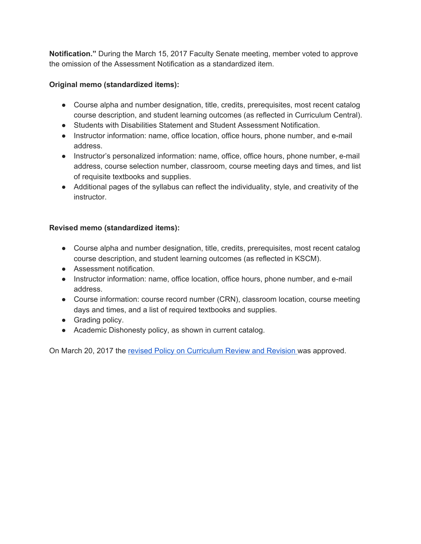**Notification."** During the March 15, 2017 Faculty Senate meeting, member voted to approve the omission of the Assessment Notification as a standardized item.

# **Original memo (standardized items):**

- Course alpha and number designation, title, credits, prerequisites, most recent catalog course description, and student learning outcomes (as reflected in Curriculum Central).
- Students with Disabilities Statement and Student Assessment Notification.
- Instructor information: name, office location, office hours, phone number, and e-mail address.
- Instructor's personalized information: name, office, office hours, phone number, e-mail address, course selection number, classroom, course meeting days and times, and list of requisite textbooks and supplies.
- Additional pages of the syllabus can reflect the individuality, style, and creativity of the instructor.

## **Revised memo (standardized items):**

- Course alpha and number designation, title, credits, prerequisites, most recent catalog course description, and student learning outcomes (as reflected in KSCM).
- Assessment notification.
- Instructor information: name, office location, office hours, phone number, and e-mail address.
- Course information: course record number (CRN), classroom location, course meeting days and times, and a list of required textbooks and supplies.
- Grading policy.
- Academic Dishonesty policy, as shown in current catalog.

On March 20, 2017 the revised Policy on [Curriculum](https://mail.google.com/mail/u/0/#search/policy+on+curriculum+review/159f1a41a39d6e64?projector=1) Review and Revision was approved.